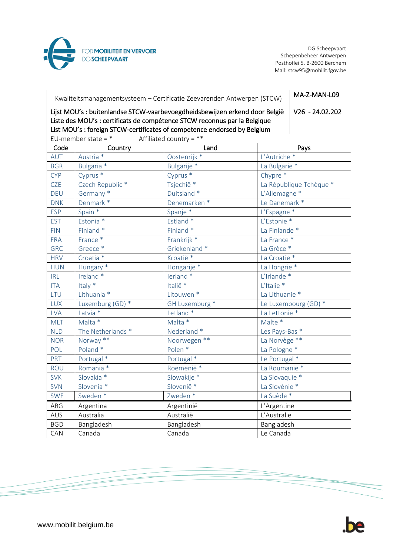

DG Scheepvaart Schepenbeheer Antwerpen Posthoflei 5, B-2600 Berchem Mail: stcw95@mobilit.fgov.be

| Kwaliteitsmanagementsysteem - Certificatie Zeevarenden Antwerpen (STCW)                                                                                  | MA-Z-MAN-L09         |                       |                          |                         |  |  |
|----------------------------------------------------------------------------------------------------------------------------------------------------------|----------------------|-----------------------|--------------------------|-------------------------|--|--|
| Lijst MOU's : buitenlandse STCW-vaarbevoegdheidsbewijzen erkend door België<br>Liste des MOU's : certificats de compétence STCW reconnus par la Belgique | $V26 - 24.02.202$    |                       |                          |                         |  |  |
| List MOU's : foreign STCW-certificates of competence endorsed by Belgium<br>Affiliated country = **<br>EU-member state = $*$                             |                      |                       |                          |                         |  |  |
| Code                                                                                                                                                     | Land<br>Country      |                       |                          | Pays                    |  |  |
| AUT                                                                                                                                                      | Austria <sup>*</sup> | Oostenrijk *          | L'Autriche <sup>*</sup>  |                         |  |  |
| <b>BGR</b>                                                                                                                                               | Bulgaria *           | Bulgarije *           | La Bulgarie *            |                         |  |  |
| <b>CYP</b>                                                                                                                                               | Cyprus <sup>*</sup>  | Cyprus <sup>*</sup>   | Chypre *                 |                         |  |  |
| <b>CZE</b>                                                                                                                                               | Czech Republic *     | Tsjechië <sup>*</sup> |                          | La République Tchèque * |  |  |
| <b>DEU</b>                                                                                                                                               | Germany *            | Duitsland *           | L'Allemagne *            |                         |  |  |
| <b>DNK</b>                                                                                                                                               | Denmark *            | Denemarken *          | Le Danemark *            |                         |  |  |
| <b>ESP</b>                                                                                                                                               | Spain *              | Spanje *              | L'Espagne *              |                         |  |  |
| <b>EST</b>                                                                                                                                               | Estonia *            | Estland *             | L'Estonie*               |                         |  |  |
| <b>FIN</b>                                                                                                                                               | Finland *            | Finland *             | La Finlande *            |                         |  |  |
| <b>FRA</b>                                                                                                                                               | France *             | Frankrijk *           | La France *              |                         |  |  |
| <b>GRC</b>                                                                                                                                               | Greece*              | Griekenland *         | La Grèce *               |                         |  |  |
| <b>HRV</b>                                                                                                                                               | Croatia <sup>*</sup> | Kroatië <sup>*</sup>  | La Croatie <sup>*</sup>  |                         |  |  |
| <b>HUN</b>                                                                                                                                               | Hungary *            | Hongarije *           | La Hongrie <sup>*</sup>  |                         |  |  |
| <b>IRL</b>                                                                                                                                               | Ireland *            | lerland *             | L'Irlande*               |                         |  |  |
| <b>ITA</b>                                                                                                                                               | Italy *              | Italië <sup>*</sup>   | L'Italie <sup>*</sup>    |                         |  |  |
| LTU                                                                                                                                                      | Lithuania *          | Litouwen *            | La Lithuanie *           |                         |  |  |
| <b>LUX</b>                                                                                                                                               | Luxemburg (GD) *     | GH Luxemburg *        |                          | Le Luxembourg (GD) *    |  |  |
| <b>LVA</b>                                                                                                                                               | Latvia *             | Letland *             | La Lettonie *            |                         |  |  |
| <b>MLT</b>                                                                                                                                               | Malta *              | Malta *               | Malte *                  |                         |  |  |
| <b>NLD</b>                                                                                                                                               | The Netherlands *    | Nederland *           | Les Pays-Bas *           |                         |  |  |
| <b>NOR</b>                                                                                                                                               | Norway **            | Noorwegen **          | La Norvège **            |                         |  |  |
| POL                                                                                                                                                      | Poland <sup>*</sup>  | Polen $*$             | La Pologne <sup>*</sup>  |                         |  |  |
| PRT                                                                                                                                                      | Portugal *           | Portugal *            | Le Portugal *            |                         |  |  |
| ROU                                                                                                                                                      | Romania *            | Roemenië <sup>*</sup> | La Roumanie *            |                         |  |  |
| <b>SVK</b>                                                                                                                                               | Slovakia *           | Slowakije *           | La Slovaquie *           |                         |  |  |
| <b>SVN</b>                                                                                                                                               | Slovenia *           | Slovenië *            | La Slovénie <sup>*</sup> |                         |  |  |
| <b>SWE</b>                                                                                                                                               | Sweden *             | Zweden *              | La Suède *               |                         |  |  |
| ARG                                                                                                                                                      | Argentina            | Argentinië            | L'Argentine              |                         |  |  |
| <b>AUS</b>                                                                                                                                               | Australia            | Australië             | L'Australie              |                         |  |  |
| <b>BGD</b>                                                                                                                                               | Bangladesh           | Bangladesh            | Bangladesh               |                         |  |  |
| CAN                                                                                                                                                      | Canada               | Canada                | Le Canada                |                         |  |  |